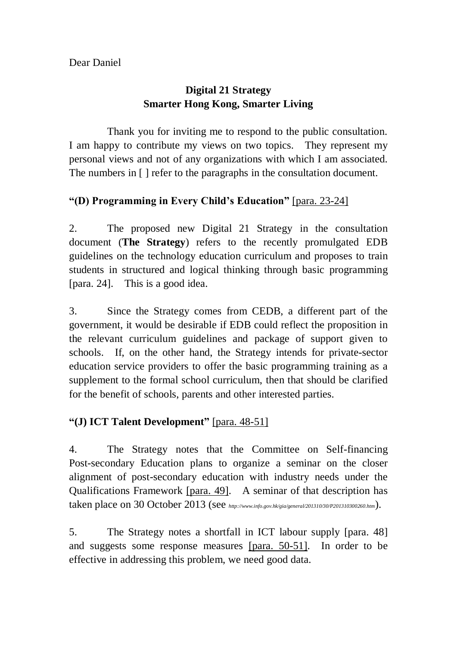## **Smarter Hong Kong, Smarter Living Digital 21 Strategy**

 Thank you for inviting me to respond to the public consultation. I am happy to contribute my views on two topics. They represent my personal views and not of any organizations with which I am associated. The numbers in [ ] refer to the paragraphs in the consultation document.

## **"(D) Programming in Every Child's Education"** [para. 23-24]

 $2<sub>1</sub>$  document (**The Strategy**) refers to the recently promulgated EDB guidelines on the technology education curriculum and proposes to train students in structured and logical thinking through basic programming [para. 24]. This is a good idea. The proposed new Digital 21 Strategy in the consultation

 $3<sub>l</sub>$  government, it would be desirable if EDB could reflect the proposition in the relevant curriculum guidelines and package of support given to schools. education service providers to offer the basic programming training as a supplement to the formal school curriculum, then that should be clarified for the benefit of schools, parents and other interested parties. Since the Strategy comes from CEDB, a different part of the If, on the other hand, the Strategy intends for private-sector

## **"(J) ICT Talent Development"** [para. 48-51]

 $\overline{4}$ . Post-secondary Education plans to organize a seminar on the closer alignment of post-secondary education with industry needs under the Qualifications Framework [para. 49]. A seminar of that description has taken place on 30 October 2013 (see *http://www.info.gov.hk/gia/general/201310/30/P201310300260.htm*). The Strategy notes that the Committee on Self-financing

 $5<sub>1</sub>$ and suggests some response measures [para. 50-51]. In order to be effective in addressing this problem, we need good data. The Strategy notes a shortfall in ICT labour supply [para. 48]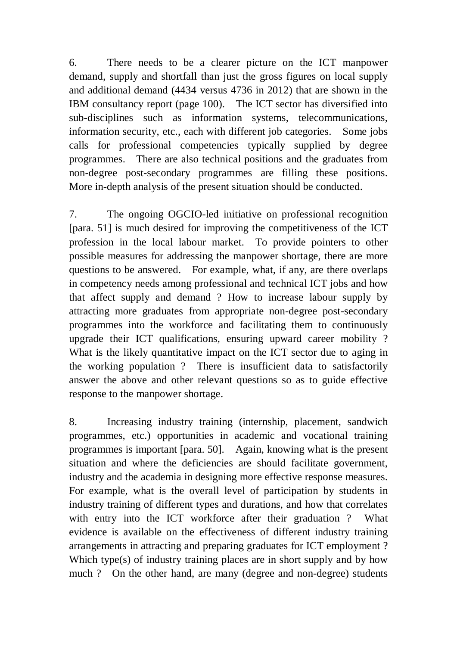6. demand, supply and shortfall than just the gross figures on local supply and additional demand (4434 versus 4736 in 2012) that are shown in the IBM consultancy report (page 100). The ICT sector has diversified into sub-disciplines such as information systems, telecommunications, information security, etc., each with different job categories. Some jobs calls for professional competencies typically supplied by degree programmes. non-degree post-secondary programmes are filling these positions. More in-depth analysis of the present situation should be conducted. There needs to be a clearer picture on the ICT manpower There are also technical positions and the graduates from

 $7.$  [para. 51] is much desired for improving the competitiveness of the ICT profession in the local labour market. To provide pointers to other possible measures for addressing the manpower shortage, there are more questions to be answered. For example, what, if any, are there overlaps in competency needs among professional and technical ICT jobs and how that affect supply and demand ? How to increase labour supply by attracting more graduates from appropriate non-degree post-secondary programmes into the workforce and facilitating them to continuously upgrade their ICT qualifications, ensuring upward career mobility ? What is the likely quantitative impact on the ICT sector due to aging in the working population ? There is insufficient data to satisfactorily answer the above and other relevant questions so as to guide effective response to the manpower shortage. The ongoing OGCIO-led initiative on professional recognition

 8. Increasing industry training (internship, placement, sandwich programmes, etc.) opportunities in academic and vocational training programmes is important [para. 50]. Again, knowing what is the present situation and where the deficiencies are should facilitate government, industry and the academia in designing more effective response measures. For example, what is the overall level of participation by students in industry training of different types and durations, and how that correlates with entry into the ICT workforce after their graduation ? What evidence is available on the effectiveness of different industry training arrangements in attracting and preparing graduates for ICT employment ? Which type(s) of industry training places are in short supply and by how much ? On the other hand, are many (degree and non-degree) students